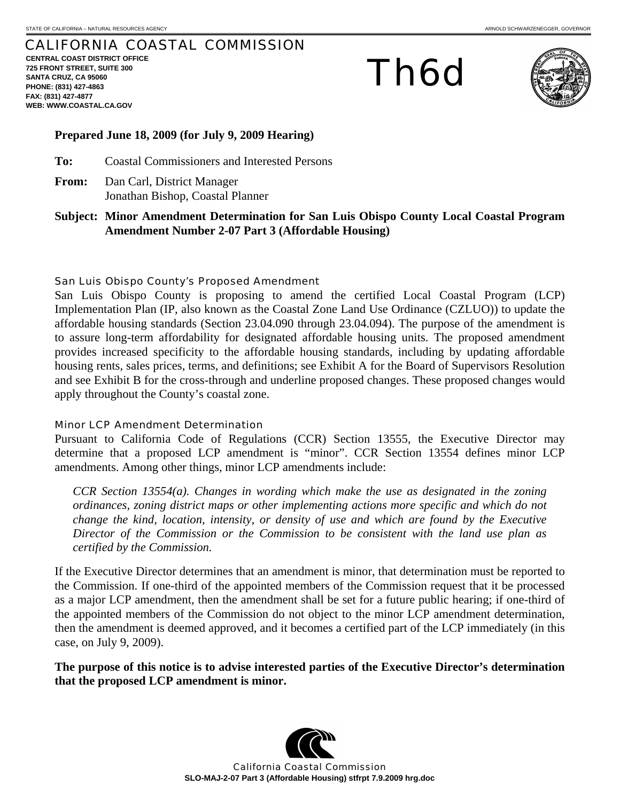# CALIFORNIA COASTAL COMMISSION

**CENTRAL COAST DISTRICT OFFICE 725 FRONT STREET, SUITE 300 SANTA CRUZ, CA 95060 PHONE: (831) 427-4863 FAX: (831) 427-4877 WEB: WWW.COASTAL.CA.GOV**

Th6d



## **Prepared June 18, 2009 (for July 9, 2009 Hearing)**

**To:** Coastal Commissioners and Interested Persons

- **From:** Dan Carl, District Manager Jonathan Bishop, Coastal Planner
- **Subject: Minor Amendment Determination for San Luis Obispo County Local Coastal Program Amendment Number 2-07 Part 3 (Affordable Housing)**

### San Luis Obispo County's Proposed Amendment

San Luis Obispo County is proposing to amend the certified Local Coastal Program (LCP) Implementation Plan (IP, also known as the Coastal Zone Land Use Ordinance (CZLUO)) to update the affordable housing standards (Section 23.04.090 through 23.04.094). The purpose of the amendment is to assure long-term affordability for designated affordable housing units. The proposed amendment provides increased specificity to the affordable housing standards, including by updating affordable housing rents, sales prices, terms, and definitions; see Exhibit A for the Board of Supervisors Resolution and see Exhibit B for the cross-through and underline proposed changes. These proposed changes would apply throughout the County's coastal zone.

### Minor LCP Amendment Determination

Pursuant to California Code of Regulations (CCR) Section 13555, the Executive Director may determine that a proposed LCP amendment is "minor". CCR Section 13554 defines minor LCP amendments. Among other things, minor LCP amendments include:

*CCR Section 13554(a). Changes in wording which make the use as designated in the zoning ordinances, zoning district maps or other implementing actions more specific and which do not change the kind, location, intensity, or density of use and which are found by the Executive Director of the Commission or the Commission to be consistent with the land use plan as certified by the Commission.* 

If the Executive Director determines that an amendment is minor, that determination must be reported to the Commission. If one-third of the appointed members of the Commission request that it be processed as a major LCP amendment, then the amendment shall be set for a future public hearing; if one-third of the appointed members of the Commission do not object to the minor LCP amendment determination, then the amendment is deemed approved, and it becomes a certified part of the LCP immediately (in this case, on July 9, 2009).

**The purpose of this notice is to advise interested parties of the Executive Director's determination that the proposed LCP amendment is minor.** 

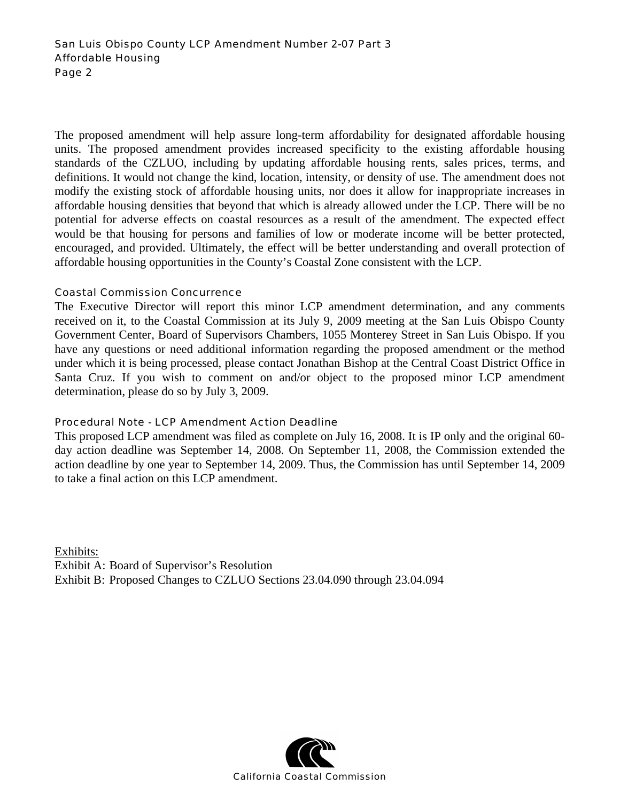The proposed amendment will help assure long-term affordability for designated affordable housing units. The proposed amendment provides increased specificity to the existing affordable housing standards of the CZLUO, including by updating affordable housing rents, sales prices, terms, and definitions. It would not change the kind, location, intensity, or density of use. The amendment does not modify the existing stock of affordable housing units, nor does it allow for inappropriate increases in affordable housing densities that beyond that which is already allowed under the LCP. There will be no potential for adverse effects on coastal resources as a result of the amendment. The expected effect would be that housing for persons and families of low or moderate income will be better protected, encouraged, and provided. Ultimately, the effect will be better understanding and overall protection of affordable housing opportunities in the County's Coastal Zone consistent with the LCP.

## Coastal Commission Concurrence

The Executive Director will report this minor LCP amendment determination, and any comments received on it, to the Coastal Commission at its July 9, 2009 meeting at the San Luis Obispo County Government Center, Board of Supervisors Chambers, 1055 Monterey Street in San Luis Obispo. If you have any questions or need additional information regarding the proposed amendment or the method under which it is being processed, please contact Jonathan Bishop at the Central Coast District Office in Santa Cruz. If you wish to comment on and/or object to the proposed minor LCP amendment determination, please do so by July 3, 2009.

# Procedural Note - LCP Amendment Action Deadline

This proposed LCP amendment was filed as complete on July 16, 2008. It is IP only and the original 60 day action deadline was September 14, 2008. On September 11, 2008, the Commission extended the action deadline by one year to September 14, 2009. Thus, the Commission has until September 14, 2009 to take a final action on this LCP amendment.

Exhibits: Exhibit A: Board of Supervisor's Resolution Exhibit B: Proposed Changes to CZLUO Sections 23.04.090 through 23.04.094

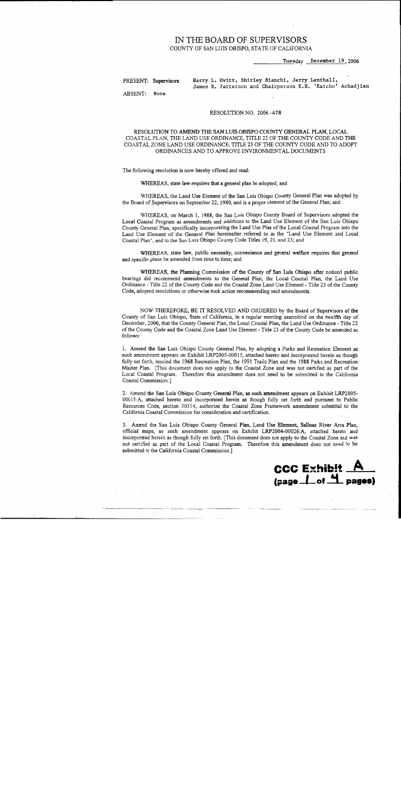# IN THE BOARD OF SUPERVISORS

COUNTY OF SAN LUIS OBISPO, STATE OF CALIFORNIA

Tuesday December 19, 2006

PRESENT: Supervisors

Harry L. Ovitt, Shirley Bianchi, Jerry Lenthall, James R. Patterson and Chairperson K.H. 'Katcho' Achadjian

ABSENT: None

#### RESOLUTION NO. 2006-478

#### RESOLUTION TO AMEND THE SAN LUIS OBISPO COUNTY GENERAL PLAN. LOCAL COASTAL PLAN, THE LAND USE ORDINANCE, TITLE 22 OF THE COUNTY CODE AND THE COASTAL ZONE LAND USE ORDINANCE, TITLE 23 OF THE COUNTY CODE AND TO ADOPT ORDINANCES AND TO APPROVE ENVIRONMENTAL DOCUMENTS

The following resolution is now hereby offered and read:

WHEREAS, state law requires that a general plan be adopted; and

WHEREAS, the Land Use Element of the San Luis Obispo County General Plan was adopted by the Board of Supervisors on September 22, 1980, and is a proper element of the General Plan; and

WHEREAS, on March 1, 1988, the San Luis Obispo County Board of Supervisors adopted the Local Coastal Program as amendments and additions to the Land Use Element of the San Luis Obispo County General Plan, specifically incorporating the Land Use Plan of the Local Coastal Program into the Land Use Element of the General Plan hereinafter referred to as the "Land Use Element and Local Coastal Plan", and to the San Luis Obispo County Code Titles 19, 21, and 23; and

WHEREAS, state law, public necessity, convenience and general welfare requires that general and specific plans be amended from time to time; and

WHEREAS, the Planning Commission of the County of San Luis Obispo after noticed public hearings did recommend amendments to the General Plan, the Local Coastal Plan, the Land Use Ordinance - Title 22 of the County Code and the Coastal Zone Land Use Element - Title 23 of the County Code, adopted resolutions or otherwise took action recommending said amendments.

NOW THEREFORE, BE IT RESOLVED AND ORDERED by the Board of Supervisors of the County of San Luis Obispo, State of California, in a regular meeting assembled on the twelfth day of December, 2006, that the County General Plan, the Local Coastal Plan, the Land Use Ordinance - Title 22 of the County Code and the Coastal Zone Land Use Element - Title 23 of the County Code be amended as follows:

1. Amend the San Luis Obispo County General Plan, by adopting a Parks and Recreation Element as such amendment appears on Exhibit LRP2005-00015, attached hereto and incorporated herein as though fully set forth, rescind the 1968 Recreation Plan, the 1991 Trails Plan and the 1988 Parks and Recreation Master Plan. [This document does not apply to the Coastal Zone and was not certified as part of the Local Coastal Program. Therefore this amendment does not need to be submitted to the California Coastal Commission.]

2. Amend the San Luis Obispo County General Plan, as such amendment appears on Exhibit LRP2005-00015:A, attached hereto and incorporated herein as though fully set forth and pursuant to Public Resources Code, section 30514, authorize the Coastal Zone Framework amendment submittal to the California Coastal Commission for consideration and certification.

3. Amend the San Luis Obispo County General Plan, Land Use Element, Salinas River Area Plan, official maps, as such amendment appears on Exhibit LRP2004-00026:A, attached hereto and incorporated herein as though fully set forth. [This document does not apply to the Coastal Zone and was not certified as part of the Local Coastal Program. Therefore this amendment does not need to be submitted to the California Coastal Commission.]

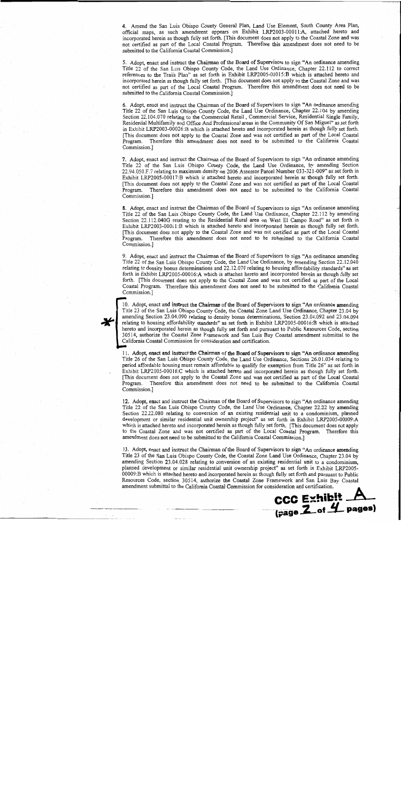4. Amend the San Luis Obispo County General Plan, Land Use Element, South County Area Plan, official maps, as such amendment appears on Exhibit LRP2003-00011:A, attached hereto and incorporated herein as though fully set forth. [This document does not apply to the Coastal Zone and was not certified as part of the Local Coastal Program. Therefore this amendment does not need to be submitted to the California Coastal Commission.]

5. Adopt, enact and instruct the Chairman of the Board of Supervisors to sign "An ordinance amending Title 22 of the San Luis Obispo County Code, the Land Use Ordinance, Chapter 22.112 to correct references to the Trails Plan" as set forth in Exhibit LRP2005-00015:B which is attached hereto and incorporated herein as though fully set forth. [This document does not apply to the Coastal Zone and was not certified as part of the Local Coastal Program. Therefore this amendment does not need to be submitted to the California Coastal Commission.]

6. Adopt, enact and instruct the Chairman of the Board of Supervisors to sign "An ordinance amending Title 22 of the San Luis Obispo County Code, the Land Use Ordinance, Chapter 22.104 by amending Section 22.104.070 relating to the Commercial Retail, Commercial Service, Residential Single Family, Residential Multifamily and Office And Professional areas in the Community Of San Miguel" as set forth in Exhibit LRP2003-00026:B which is attached hereto and incorporated herein as though fully set forth. [This document does not apply to the Coastal Zone and was not certified as part of the Local Coastal Therefore this amendment does not need to be submitted to the California Coastal Program. Commission.]

7. Adopt, enact and instruct the Chairman of the Board of Supervisors to sign "An ordinance amending Title 22 of the San Luis Obispo County Code, the Land Use Ordinance, by amending Section 22.94.050.F.7 relating to maximum density on 2006 Assessor Parcel Number 033-321-009" as set forth in Exhibit LRP2005-00017:B which is attached hereto and incorporated herein as though fully set forth. [This document does not apply to the Coastal Zone and was not certified as part of the Local Coastal Program. Therefore this amendment does not need to be submitted to the California Coastal Commission.]

8. Adopt, enact and instruct the Chairman of the Board of Supervisors to sign "An ordinance amending Title 22 of the San Luis Obispo County Code, the Land Use Ordinance, Chapter 22.112 by amending Section 22.112.040G relating to the Residential Rural area on West El Campo Road" as set forth in Exhibit LRP2003-00011:B which is attached hereto and incorporated herein as though fully set forth. [This document does not apply to the Coastal Zone and was not certified as part of the Local Coastal Program. Therefore this amendment does not need to be submitted to the California Coastal Commission.1

9. Adopt, enact and instruct the Chairman of the Board of Supervisors to sign "An ordinance amending Title 22 of the San Luis Obispo County Code, the Land Use Ordinance, by amending Section 22.12.040 relating to density bonus determinations and 22.12.070 relating to housing affordability standards" as set forth in Exhibit LRP2005-00016:A which is attached hereto and incorporated herein as though fully set forth. [This document does not apply to the Coastal Zone and was not certified as part of the Local Coastal Program. Therefore this amendment does not need to be submitted to the California Coastal Commission.]



10. Adopt, enact and instruct the Chairman of the Board of Supervisors to sign "An ordinance amending Title 23 of the San Luis Obispo County Code, the Coastal Zone Land Use Ordinance, Chapter 23.04 by amending Section 23.04.090 relating to density bonus determinations, Section 23.04.092 and 23.04.094 relating to housing affordability standards" as set forth in Exhibit LRP2005-00016:B which is attached hereto and incorporated herein as though fully set forth and pursuant to Public Resources Code, section 30514, authorize the Coastal Zone Framework and San Luis Bay Coastal amendment submittal to the California Coastal Commission for consideration and certification.

11. Adopt, enact and instruct the Chairman of the Board of Supervisors to sign "An ordinance amending Title 26 of the San Luis Obispo County Code, the Land Use Ordinance, Sections 26.01.034 relating to period affordable housing must remain affordable to qualify for exemption from Title 26" as set forth in Exhibit LRP2005-00016:C which is attached hereto and incorporated herein as though fully set forth. [This document does not apply to the Coastal Zone and was not certified as part of the Local Coastal Program. Therefore this amendment does not need to be submitted to the California Coastal Commission.]

12. Adopt, enact and instruct the Chairman of the Board of Supervisors to sign "An ordinance amending Title 22 of the San Luis Obispo County Code, the Land Use Ordinance, Chapter 22.22 by amending Section 22.22.080 relating to conversion of an existing residential unit to a condominium, planned development or similar residential unit ownership project" as set forth in Exhibit LRP2005-00009:A which is attached hereto and incorporated herein as though fully set forth. [This document does not apply to the Coastal Zone and was not certified as part of the Local Coastal Program. Therefore this amendment does not need to be submitted to the California Coastal Commission.]

13. Adopt, enact and instruct the Chairman of the Board of Supervisors to sign "An ordinance amending Title 23 of the San Luis Obispo County Code, the Coastal Zone Land Use Ordinance, Chapter 23.04 by amending Section 23.04.028 relating to conversion of an existing residential unit to a condominium, planned development or similar residential unit ownership project" as set forth in Exhibit LRP2005-00009:B which is attached hereto and incorporated herein as though fully set forth and pursuant to Public Resources Code, section 30514, authorize the Coastal Zone Framework and San Luis Bay Coastal amendment submittal to the California Coastal Commission for consideration and certification.

**CCC Exhibit .** 

(page 2 of 4 pages)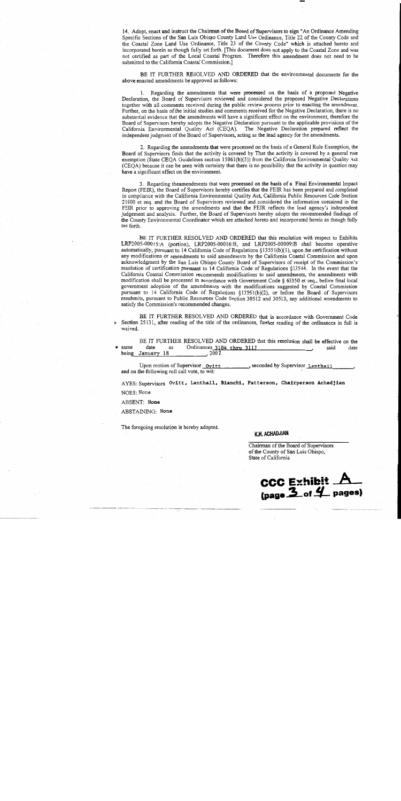14. Adopt, enact and instruct the Chairman of the Board of Supervisors to sign "An Ordinance Amending Specific Sections of the San Luis Obispo County Land Use Ordinance, Title 22 of the County Code and the Coastal Zone Land Use Ordinance, Title 23 of the County Code" which is attached hereto and incorporated herein as though fully set forth. [This document does not apply to the Coastal Zone and was not certified as part of the Local Coastal Program. Therefore this amendment does not need to be submitted to the California Coastal Commission.]

BE IT FURTHER RESOLVED AND ORDERED that the environmental documents for the above enacted amendments be approved as follows:

1. Regarding the amendments that were processed on the basis of a proposed Negative Declaration, the Board of Supervisors reviewed and considered the proposed Negative Declarations together with all comments received during the public review process prior to enacting the amendment. Further, on the basis of the initial studies and comments received for the Negative Declaration, there is no substantial evidence that the amendments will have a significant effect on the environment, therefore the Board of Supervisors hereby adopts the Negative Declaration pursuant to the applicable provisions of the California Environmental Quality Act (CEQA). The Negative Declaration prepared reflect the independent judgment of the Board of Supervisors, acting as the lead agency for the amendments.

2. Regarding the amendments that were processed on the basis of a General Rule Exemption, the Board of Supervisors finds that the activity is covered by That the activity is covered by a general rule exemption (State CEQA Guidelines section 15061(b)(3)) from the California Environmental Quality Act (CEQA) because it can be seen with certainty that there is no possibility that the activity in question may have a significant effect on the environment.

3. Regarding theamendments that were processed on the basis of a Final Environmental Impact Report (FEIR), the Board of Supervisors hereby certifies that the FEIR has been prepared and completed in compliance with the California Environmental Quality Act, California Public Resources Code Section 21000 et seq. and the Board of Supervisors reviewed and considered the information contained in the FEIR prior to approving the amendments and that the FEIR reflects the lead agency's independent judgement and analysis. Further, the Board of Supervisors hereby adopts the recommended findings of the County Environmental Coordinator which are attached hereto and incorporated herein as though fully set forth.

BE IT FURTHER RESOLVED AND ORDERED that this resolution with respect to Exhibits LRP2005-00015:A (portion), LRP2005-00016:B, and LRP2005-00009:B shall become operative automatically, pursuant to 14 California Code of Regulations §13551(b)(1), upon the certification without any modifications or amendments to said amendments by the California Coastal Commission and upon acknowledgment by the San Luis Obispo County Board of Supervisors of receipt of the Commission's resolution of certification pursuant to 14 California Code of Regulations §13544. In the event that the California Coastal Commission recommends modifications to said amendments, the amendments with modification shall be processed in accordance with Government Code § 65350 et seq., before final local government adoption of the amendments with the modifications suggested by Coastal Commission pursuant to 14 California Code of Regulations §13551(b)(2), or before the Board of Supervisors resubmits, pursuant to Public Resources Code Section 30512 and 30513, any additional amendments to satisfy the Commission's recommended changes.

BE IT FURTHER RESOLVED AND ORDERED that in accordance with Government Code Section 25131, after reading of the title of the ordinances, further reading of the ordinances in full is waived.

BE IT FURTHER RESOLVED AND ORDERED that this resolution shall be effective on the Ordinances 3104 thru 3113 same date said date as  $, 2007.$ being January 18

Upon motion of Supervisor Ovitt seconded by Supervisor <u>Lenthall.</u> and on the following roll call vote, to wit:

AYES: Supervisors Ovitt, Lenthall, Bianchi, Patterson, Chairperson Achadjian NOES: None

ABSENT: None

ABSTAINING: None

The foregoing resolution is hereby adopted.

#### K.H. ACHADJIAN

Chairman of the Board of Supervisors of the County of San Luis Obispo, State of California

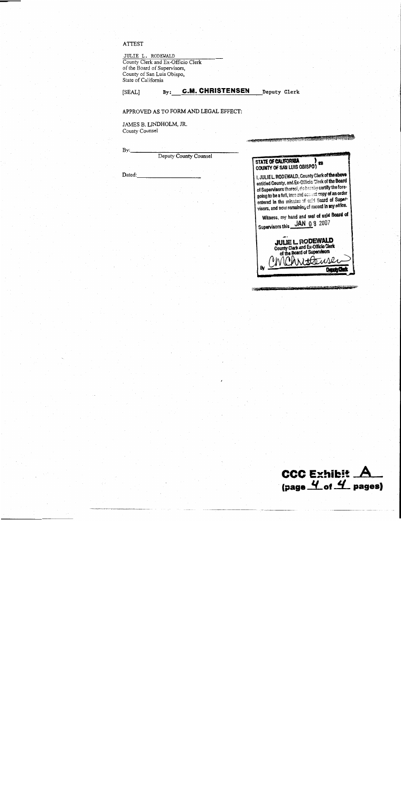#### **ATTEST**

[SEAL]

JULIE L. RODEWALD<br>County Clerk and Ex-Officio Clerk of the Board of Supervisors, County of San Luis Obispo,<br>State of California

> By: C.M. CHRISTENSEN Deputy Clerk

> > **THE COMPOSITE**

#### APPROVED AS TO FORM AND LEGAL EFFECT:

JAMES B. LINDHOLM, JR. County Counsel

| By:<br>Deputy County Counsel |                                                                                                                                                                                                                                                                                                                            |
|------------------------------|----------------------------------------------------------------------------------------------------------------------------------------------------------------------------------------------------------------------------------------------------------------------------------------------------------------------------|
|                              | STATE OF CALIFORNIA<br><b>COUNTY OF SAN LUIS OBISPO)</b>                                                                                                                                                                                                                                                                   |
| Dated:                       | i, JULIEL. RODEWALD, County Clerk of the above<br>entitled County, and Ex-Officic Clerk of the Board<br>of Supervisors thereof, do becaby certify the fore-<br>going to be a full, true and conset copy of an order<br>ontered in the minutes of said Board of Super-<br>visors, and now remaining of record in my office. |
|                              | Witness, my hand and seal of said Board of<br><b>JAN 08 2007</b><br>Supervisors this                                                                                                                                                                                                                                       |

CCC Exhibit  $A$ <br>(page  $4$  of  $4$  pages)

**PARTITION IN THE SAME** 

<del>. 1714 (TETTI</del>TITA)

**JULIE L. RODEWALD** County Clerk and Ex-Officio Clerk<br>of the Board of Supervisors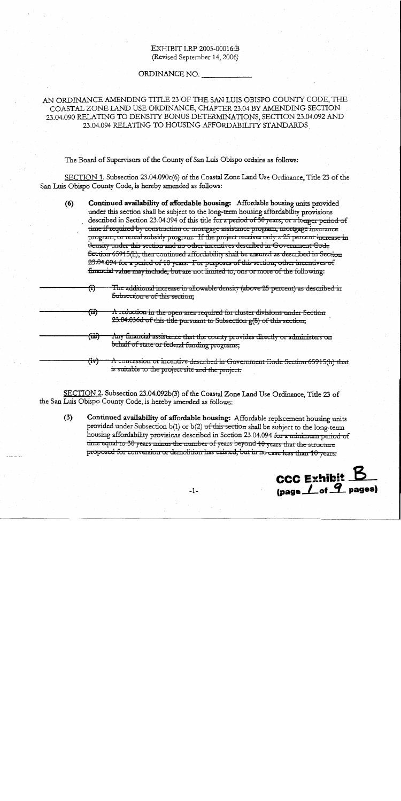## EXHIBIT LRP 2005-00016:B (Revised September 14, 2006)

### ORDINANCE NO.

AN ORDINANCE AMENDING TITLE 23 OF THE SAN LUIS OBISPO COUNTY CODE, THE COASTAL ZONE LAND USE ORDINANCE, CHAPTER 23.04 BY AMENDING SECTION 23.04.090 RELATING TO DENSITY BONUS DETERMINATIONS, SECTION 23.04.092 AND 23.04.094 RELATING TO HOUSING AFFORDABILITY STANDARDS

The Board of Supervisors of the County of San Luis Obispo ordains as follows:

SECTION 1. Subsection 23.04.090c(6) of the Coastal Zone Land Use Ordinance, Title 23 of the San Luis Obispo County Code, is hereby amended as follows:

- $(6)$ Continued availability of affordable housing: Affordable housing units provided under this section shall be subject to the long-term housing affordability provisions described in Section 23.04.094 of this title for a period of 30 years, or a longer period of time if required by construction or mortgage assistance program, mortgage insurance program, or rental subsidy program. If the project receives only a 25 percent increase in density under this section and no other incentives described in Government Gode Section 65915(h), then continued affordability shall be ensured as described in Section 23.04.094 for a period of 10 years. For purposes of this section, other incentives of financial value may include, but are not limited to, one or more of the following:
- The additional increase in allowable density (above 25 percent) as described in <del>(ï)</del> Subsection e of this section.
	- <del>(ii)</del>  $\Lambda$  reduction in the open area required for cluster divisions under Section 23.04.036d of this title pursuant to Subsection g(8) of this section;
	- <del>(iii)</del> Any financial assistance that the county provides directly or administers on behalf of state or federal funding programs;
	- $\Lambda$  concession or incentive described in Government Code Section 65915(h) that <del>(iv)</del> is suitable to the project site and the project.

SECTION 2. Subsection 23.04.092b(3) of the Coastal Zone Land Use Ordinance, Title 23 of the San Luis Obispo County Code, is hereby amended as follows:

 $(3)$ Continued availability of affordable housing: Affordable replacement housing units provided under Subsection b(1) or b(2) of this section shall be subject to the long-term housing affordability provisions described in Section 23.04.094 for a minimum period of time equal to 30 years minus the number of years beyond 10 years that the structure proposed for conversion or demolition has existed, but in no case less than 10 years.

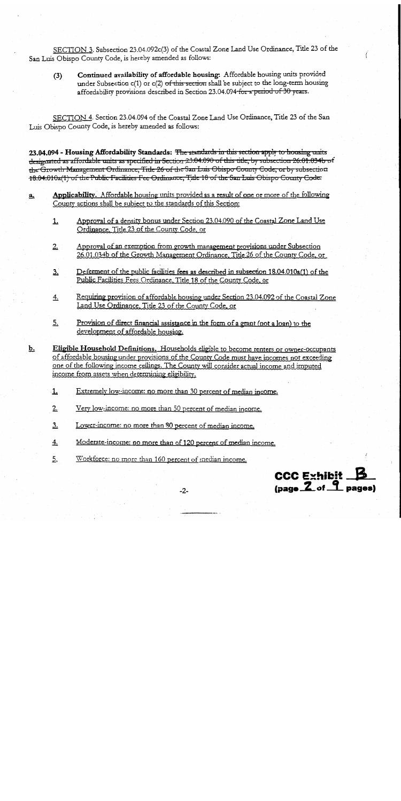SECTION 3. Subsection 23.04.092c(3) of the Coastal Zone Land Use Ordinance, Title 23 of the San Luis Obispo County Code, is hereby amended as follows:

Continued availability of affordable housing: Affordable housing units provided  $(3)$ under Subsection c(1) or c(2) of this section shall be subject to the long-term housing affordability provisions described in Section 23.04.094 for a period of 30 years.

SECTION 4. Section 23.04.094 of the Coastal Zone Land Use Ordinance, Title 23 of the San Luis Obispo County Code, is hereby amended as follows:

23.04.094 - Housing Affordability Standards: <del>The standards in this section apply to housing units</del> designated as affordable units as specified in Section 23.04.090 of this title, by subsection 26.01.034b of the Growth Management Ordinance, Title 26 of the San Luis Obispo County Code, or by subsection 18.04.010a(1) of the Public Facilities Fee Ordinance, Title 18 of the San Luis Obispo County Code.

- Applicability. Affordable housing units provided as a result of one or more of the following  $a_{1}$ County actions shall be subject to the standards of this Section:
	- Approval of a density bonus under Section 23.04.090 of the Coastal Zone Land Use <u>1.</u> Ordinance, Title 23 of the County Code, or
	- Approval of an exemption from growth management provisions under Subsection  $2.$ 26.01.034b of the Growth Management Ordinance, Title 26 of the County Code, or
	- Deferment of the public facilities fees as described in subsection 18.04.010a(1) of the  $3.$ Public Facilities Fees Ordinance, Title 18 of the County Code, or
	- Requiring provision of affordable housing under Section 23.04.092 of the Coastal Zone  $\frac{4}{2}$ Land Use Ordinance, Title 23 of the County Code, or
	- 5. Provision of direct financial assistance in the form of a grant (not a loan) to the development of affordable housing.

Eligible Household Definitions. Households eligible to become renters or owner-occupants of affordable housing under provisions of the County Code must have incomes not exceeding one of the following income ceilings. The County will consider actual income and imputed income from assets when determining eligibility.

- Extremely low-income: no more than 30 percent of median income. <u>1.</u>
- $2.$ Very low-income: no more than 50 percent of median income.
- Lower-income: no more than 80 percent of median income.  $3.$

 $\underline{\mathbf{b}}$ .

- $4.$ Moderate-income: no more than of 120 percent of median income.
- 5. Workforce: no more than 160 percent of median income.



 $-2-$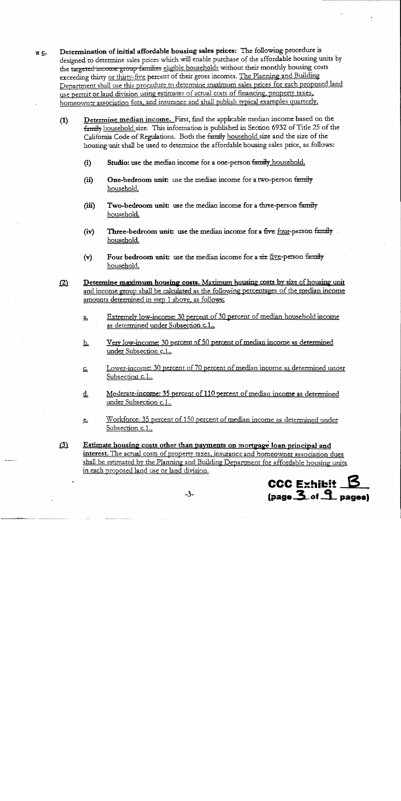Determination of initial affordable housing sales prices: The following procedure is a c. designed to determine sales prices which will enable purchase of the affordable housing units by the targeted income group families eligible households without their monthly housing costs exceeding thirty or thirty-five percent of their gross incomes. The Planning and Building Department shall use this procedure to determine maximum sales prices for each proposed land use permit or land division using estimates of actual costs of financing, property taxes, homeowner association fees, and insurance and shall publish typical examples quarterly.

- Determine median income. First, find the applicable median income based on the  $(1)$ family household size. This information is published in Section 6932 of Title 25 of the California Code of Regulations. Both the family household size and the size of the housing unit shall be used to determine the affordable housing sales price, as follows:
	- Studio: use the median income for a one-person family household.  $(i)$
	- One-bedroom unit: use the median income for a two-person family  $(ii)$ household.
	- Two-bedroom unit: use the median income for a three-person family  $(iii)$ household.
	- Three-bedroom unit: use the median income for a five four-person family.  $(iv)$ household.
	- Four bedroom unit: use the median income for a six five-person family  $(v)$ household.
- $(2)$ Determine maximum housing costs. Maximum housing costs by size of housing unit and income group shall be calculated as the following percentages of the median income amounts determined in step 1 above, as follows:
	- Extremely low-income: 30 percent of 30 percent of median household income  $\underline{a}$ . as determined under Subsection c.1.
	- Very low-income: 30 percent of 50 percent of median income as determined <u>b.</u> under Subsection c.1..
	- Lower-income: 30 percent of 70 percent of median income as determined under <u>c.</u> Subsection c.1.
	- Moderate-income: 35 percent of 110 percent of median income as determined d. under Subsection c.1..
	- Workforce: 35 percent of 150 percent of median income as determined under <u>e.</u> Subsection c.1.
- Estimate housing costs other than payments on mortgage loan principal and  $(3)$ interest. The actual costs of property taxes, insurance and homeowner association dues shall be estimated by the Planning and Building Department for affordable housing units in each proposed land use or land division.

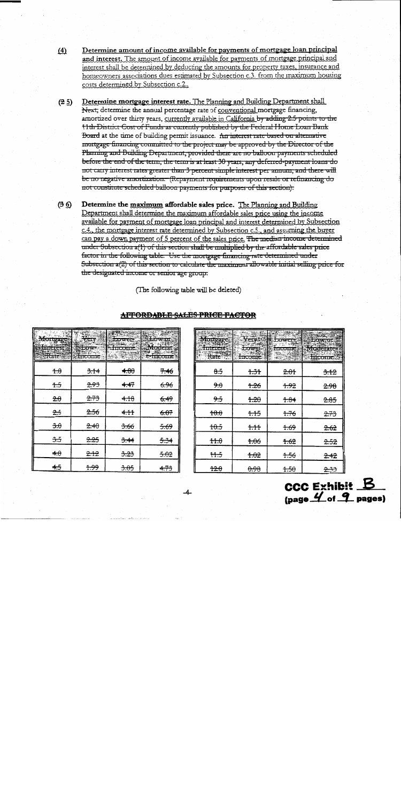- Determine amount of income available for payments of mortgage loan principal  $\Delta$ and interest. The amount of income available for payments of mortgage principal and interest shall be determined by deducting the amounts for property taxes, insurance and homeowners associations dues estimated by Subsection c.3. from the maximum housing costs determined by Subsection c.2..
- $(2.5)$ Determine mortgage interest rate. The Planning and Building Department shall Next, determine the annual percentage rate of conventional mortgage financing, amortized over thirty years, currently available in California by adding 2.5 points to the 11th District Cost of Funds as currently published by the Federal Home Loan Bank Board at the time of building permit issuance. Arrinterest rate based on alternative mortgage financing committed to the project may be approved by the Director of the Planning and Building Department, provided there are no balloon payments scheduled before the end of the term, the term is at least 30 years, any deferred-payment loans do not carry interest rates greater than 3 percent simple interest per annum, and there will be no negative amortization. (Repayment requirements upon resale or refinancing do not constitute scheduled balloon payments for purposes of this section).
- $(3.6)$ Determine the maximum affordable sales price. The Planning and Building Department shall determine the maximum affordable sales price using the income available for payment of mortgage loan principal and interest determined by Subsection c.4, the mortgage interest rate determined by Subsection c.5, and assuming the buyer can pay a down payment of 5 percent of the sales price. The median income determined under Subsection  $a(1)$  of this section shall be multiplied by the affordable sales price factor in the following table. Use the mortgage financing rate determined under Subsection a(2) of this section to calculate the maximum allowable initial selling price for the designated income or senior age group.

(The following table will be deleted)

| ाप्याट द्र् | <b>HITCOLIC</b> | <b>LOWCL.</b>   | <b>KAMP</b><br>/ एक छ। जा इन्द्र प्र<br><b>OMBOSLONDER</b> IN |
|-------------|-----------------|-----------------|---------------------------------------------------------------|
| $+ \theta$  | 3.14            | 4.80            | 7.46                                                          |
| 1.5         | 2.93            | 4.47            | <del>6.96</del>                                               |
| 2.0         | 2.73            | 4.18            | 6.49                                                          |
| 2.5         | 2.56            | 4.11            | 6.07                                                          |
| 3.0         | 2.40            | 3.66            | 5.69                                                          |
| 3.5         | 2.25            | 3.44            | 5.34                                                          |
| $\bigstar$  | <del>2.12</del> | 3.23            | 5.02                                                          |
| 4.5         | <del>1.99</del> | <del>3.05</del> | 4.73                                                          |

|                 |                 | ruuna           |       |
|-----------------|-----------------|-----------------|-------|
| $\frac{8.5}{5}$ | 1.31            | 2.01            | 3.12  |
| 9.0             | $+26$           | 1.92            | 2.98  |
| 9.5             | 1.20            | 1.84            | 2.85  |
| 40.0            | 1.15            | 1.76            | 2.73  |
| 10.5            | 1.11            | $+69$           | 2.62  |
| #0              | 1.06            | 1.62            | 2.52  |
| 11.5            | 4.02            | 1.56            | 2.42  |
| 12.0            | <del>0.98</del> | <del>1.50</del> | بمجيج |

**AFFORDABLE SALES PRICE FACTOR** 

**CCC Exhibit B**  $(\text{page } 4)$  of  $9$  pages)

 $-4$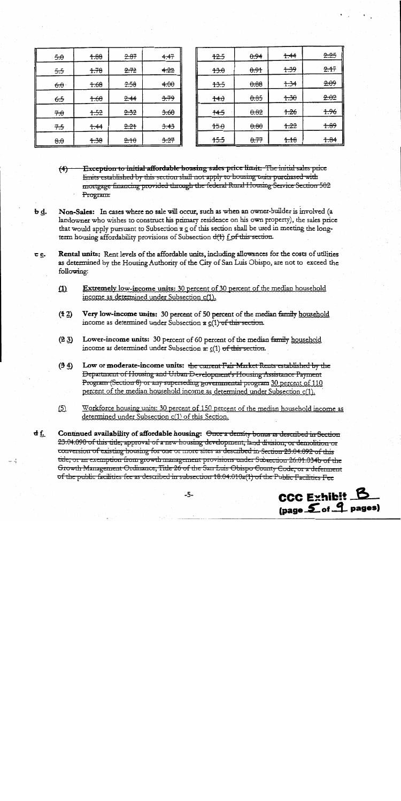| 5.0                 | 4.88  | 2.87 | <del>4.47</del> |
|---------------------|-------|------|-----------------|
| 5.5                 | 1.78  | 2.72 | 4.22            |
| $-6.0$              | 7.68  | 2.58 | 4.00            |
| 6.5                 | 1.60  | 2.44 | 3.79            |
| 70                  | $+52$ | 2.32 | 3.60            |
| 7.5                 | 1.44  | 2.21 | 3.43            |
| $\theta$ . $\theta$ | 1.38  | 2.10 | 3.27            |

| <del>12.5</del> | 0.94 | 1.44            | <del>2.25</del> |
|-----------------|------|-----------------|-----------------|
| 13.0            | 0.91 | <del>1.39</del> | 2.17            |
| 13.5            | 0.88 | 1.34            | 2.09            |
| 14.0            | 0.85 | $+30$           | 2.02            |
| 14.5            | 0.82 | 1.26            | 1.96            |
| $+5.0$          | 0.80 | $+22$           | 1.89            |
| 15.5            | 0.77 | 1.16            | 1.84            |

- Exception to initial affordable housing sales price limit: The initial sales price  $<sup>(4)</sup>$ </sup> limits established by this section shall not apply to housing units purchased with mortgage financing provided through the federal Rural Housing Service Section 502 Program.
- Ь₫. Non-Sales: In cases where no sale will occur, such as when an owner-builder is involved (a landowner who wishes to construct his primary residence on his own property), the sales price that would apply pursuant to Subsection  $\pi \circ c$  of this section shall be used in meeting the longterm housing affordability provisions of Subsection d(1) for this section.
- Rental units: Rent levels of the affordable units, including allowances for the costs of utilities ce. as determined by the Housing Authority of the City of San Luis Obispo, are not to exceed the following:
	- **Extremely low-income units: 30 percent of 30 percent of the median household**  $(1)$ income as determined under Subsection c(1).
	- $(12)$ Very low-income units: 30 percent of 50 percent of the median family household income as determined under Subsection x  $g(1)$  of this section.
	- $(23)$ Lower-income units: 30 percent of 60 percent of the median family household income as determined under Subsection a: c(1) of this section.
	- $(3.4)$ Low or moderate-income units: the current Fair Market Rents established by the Department of Housing and Urban Development's Housing Assistance Payment Program (Section 8) or any superseding governmental program 30 percent of 110 percent of the median household income as determined under Subsection c(1).
	- $(5)$ Workforce housing units: 30 percent of 150 percent of the median household income as determined under Subsection c(1) of this Section.
- $df_1$ Continued availability of affordable housing: Once a density bonus as described in Section 23.04.090 of this title; approval of a new housing development, land division, or demolition or conversion of existing housing for one or more sites as described in Section 23.04.092 of this title; or an exemption from growth management provisions under Subsection 26.01.034b of the Growth Management Ordinance, Title 26 of the San Luis Obispo County Code, or a deferment of the public facilities fee as described in subsection 18.04.010a(1) of the Public Facilities Fee

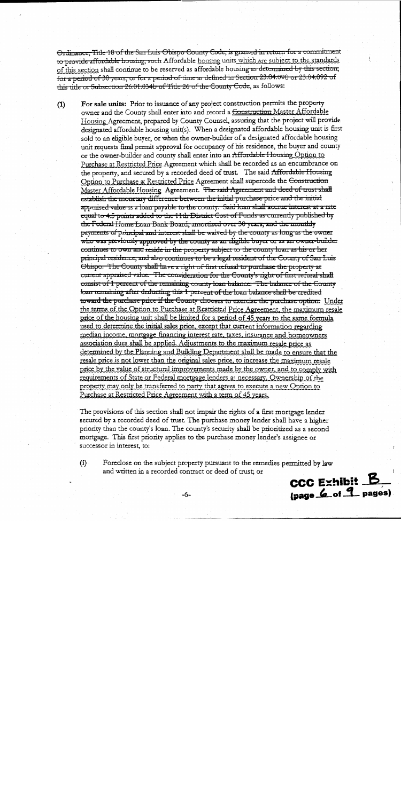Ordinance, Title 18 of the San Luis Obispo County Code, is granted in return for a commitment to provide affordable housing, such Affordable housing units which are subject to the standards of this section shall continue to be reserved as affordable housing as determined by this section; for a period of 30 years, or for a period of time as defined in Section 23.04.090 or 23.04.092 of this title or Subsection 26.01.034b of Title 26 of the County Code, as follows:

For sale units: Prior to issuance of any project construction permits the property  $(1)$ owner and the County shall enter into and record a <del>Construction</del> Master Affordable Housing Agreement, prepared by County Counsel, assuring that the project will provide designated affordable housing unit(s). When a designated affordable housing unit is first sold to an eligible buyer, or when the owner-builder of a designated affordable housing unit requests final permit approval for occupancy of his residence, the buyer and county or the owner-builder and county shall enter into an Affordable Housing Option to Purchase at Restricted Price Agreement which shall be recorded as an encumbrance on the property, and secured by a recorded deed of trust. The said Affordable Housing Option to Purchase at Restricted Price Agreement shall supercede the Construction Master Affordable Housing Agreement. The said Agreement and deed of trust shall establish the monetary difference between the initial purchase price and the initial appraised value as a loan payable to the county. Said loan shall accrue interest at a rate equal to 4.5 points added to the 11th District Cost of Funds as currently published by the Federal Home Loan Bank Board, amortized over 30 years, and the monthly payments of principal and interest shall be waived by the county as long as the owner who was previously approved by the county as an eligible buyer or as an owner-builder continues to own and reside in the property subject to the county loan as his or her principal residence, and also continues to be a legal resident of the County of San Luis Obispo. The County shall have a right of first refusal to purchase the property at carrent appraised value. The consideration for the County's right of first refusal shall consist of 1 percent of the remaining county loan balance. The balance of the County loan remaining after deducting this 1 percent of the loan balance shall be credited toward the purchase price if the County chooses to exercise the purchase option. Under the terms of the Option to Purchase at Restricted Price Agreement, the maximum resale price of the housing unit shall be limited for a period of 45 years to the same formula used to determine the initial sales price, except that current information regarding median income, mortgage financing interest rate, taxes, insurance and homeowners association dues shall be applied. Adjustments to the maximum resale price as determined by the Planning and Building Department shall be made to ensure that the resale price is not lower than the original sales price, to increase the maximum resale price by the value of structural improvements made by the owner, and to comply with requirements of State or Federal mortgage lenders as necessary. Ownership of the property may only be transferred to party that agrees to execute a new Option to Purchase at Restricted Price Agreement with a term of 45 years.

The provisions of this section shall not impair the rights of a first mortgage lender secured by a recorded deed of trust. The purchase money lender shall have a higher priority than the county's loan. The county's security shall be prioritized as a second mortgage. This first priority applies to the purchase money lender's assignee or successor in interest, to:

Foreclose on the subject property pursuant to the remedies permitted by law  $(i)$ and written in a recorded contract or deed of trust; or

**CCC Exhibit B** (page 6 of 9 pages)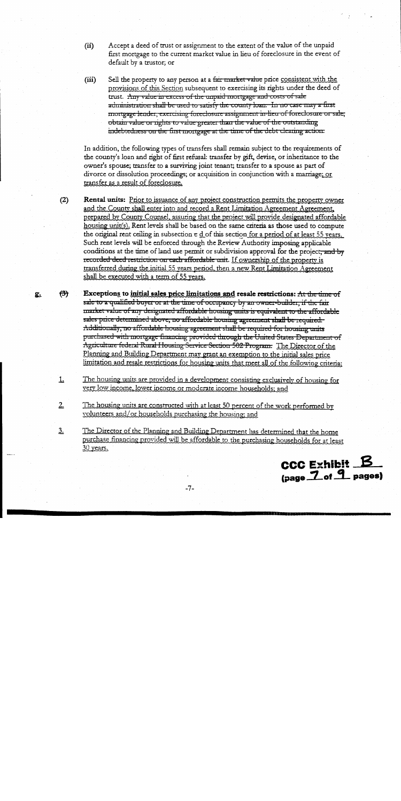- Accept a deed of trust or assignment to the extent of the value of the unpaid  $(ii)$ first mortgage to the current market value in lieu of foreclosure in the event of default by a trustor; or
- Sell the property to any person at a fair market value price consistent with the  $(iii)$ provisions of this Section subsequent to exercising its rights under the deed of trust. Any value in excess of the unpaid mortgage and costs of sale administration shall be used to satisfy the county loan. In no case may a first mortgage lender, exercising foreclosure assignment in-lieu of foreclosure or sale; obtain value or rights to value greater than the value of the outstanding indebtedness on the first mortgage at the time of the debt clearing action:

In addition, the following types of transfers shall remain subject to the requirements of the county's loan and right of first refusal: transfer by gift, devise, or inheritance to the owner's spouse; transfer to a surviving joint tenant; transfer to a spouse as part of divorce or dissolution proceedings; or acquisition in conjunction with a marriage; or transfer as a result of foreclosure.

Rental units: Prior to issuance of any project construction permits the property owner and the County shall enter into and record a Rent Limitation Agreement Agreement, prepared by County Counsel, assuring that the project will provide designated affordable housing unit(s). Rent levels shall be based on the same criteria as those used to compute the original rent ceiling in subsection  $\tau$  d of this section for a period of at least 55 years. Such rent levels will be enforced through the Review Authority imposing applicable conditions at the time of land use permit or subdivision approval for the project, and by recorded deed restriction on each affordable unit. If ownership of the property is transferred during the initial 55 years period, then a new Rent Limitation Agreement shall be executed with a term of 55 years.

 $(2)$ 

ደ.

<del>(ਤੋ)</del> Exceptions to initial sales price limitations and resale restrictions: At the time of sale to a qualified buyer or at the time of occupancy by an owner-builder, if the fair market value of any designated affordable housing units is equivalent to the affordable sales price determined above, no affordable housing agreement shall be required. Additionally, no affordable housing agreement shall be required for housing units purchased with mortgage financing provided through the United States Department of Agriculture federal Rural Housing Service Section 502 Program: The Director of the Planning and Building Department may grant an exemption to the initial sales price limitation and resale restrictions for housing units that meet all of the following criteria:

The housing units are provided in a development consisting exclusively of housing for  $\mathbf{L}$ very low income, lower income or moderate income households; and

 $2.$ The housing units are constructed with at least 50 percent of the work performed by volunteers and/or households purchasing the housing; and

The Director of the Planning and Building Department has determined that the home <u>3.</u> purchase financing provided will be affordable to the purchasing households for at least 30 years.

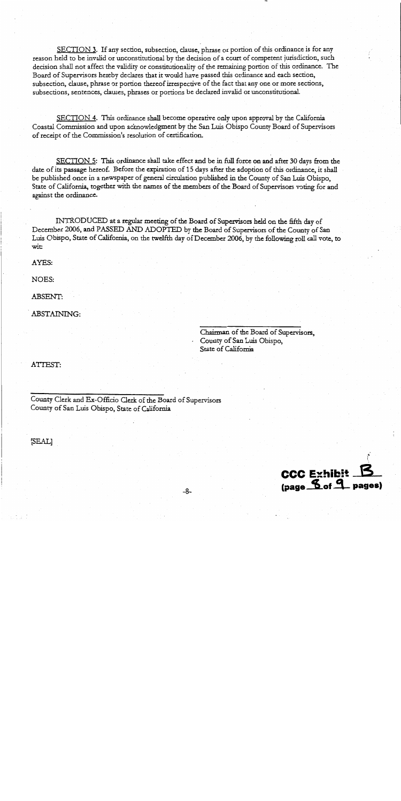SECTION 3. If any section, subsection, clause, phrase or portion of this ordinance is for any reason held to be invalid or unconstitutional by the decision of a court of competent jurisdiction, such decision shall not affect the validity or constitutionality of the remaining portion of this ordinance. The Board of Supervisors hereby declares that it would have passed this ordinance and each section, subsection, clause, phrase or portion thereof irrespective of the fact that any one or more sections, subsections, sentences, clauses, phrases or portions be declared invalid or unconstitutional.

SECTION 4. This ordinance shall become operative only upon approval by the California Coastal Commission and upon acknowledgment by the San Luis Obispo County Board of Supervisors of receipt of the Commission's resolution of certification.

SECTION 5: This ordinance shall take effect and be in full force on and after 30 days from the date of its passage hereof. Before the expiration of 15 days after the adoption of this ordinance, it shall be published once in a newspaper of general circulation published in the County of San Luis Obispo, State of California, together with the names of the members of the Board of Supervisors voting for and against the ordinance.

INTRODUCED at a regular meeting of the Board of Supervisors held on the fifth day of December 2006, and PASSED AND ADOPTED by the Board of Supervisors of the County of San Luis Obispo, State of California, on the twelfth day of December 2006, by the following roll call vote, to wit:

AYES:

NOES:

**ABSENT:** 

ABSTAINING:

Chairman of the Board of Supervisors. County of San Luis Obispo, State of California

ATTEST:

County Clerk and Ex-Officio Clerk of the Board of Supervisors County of San Luis Obispo, State of California

[SEAL]